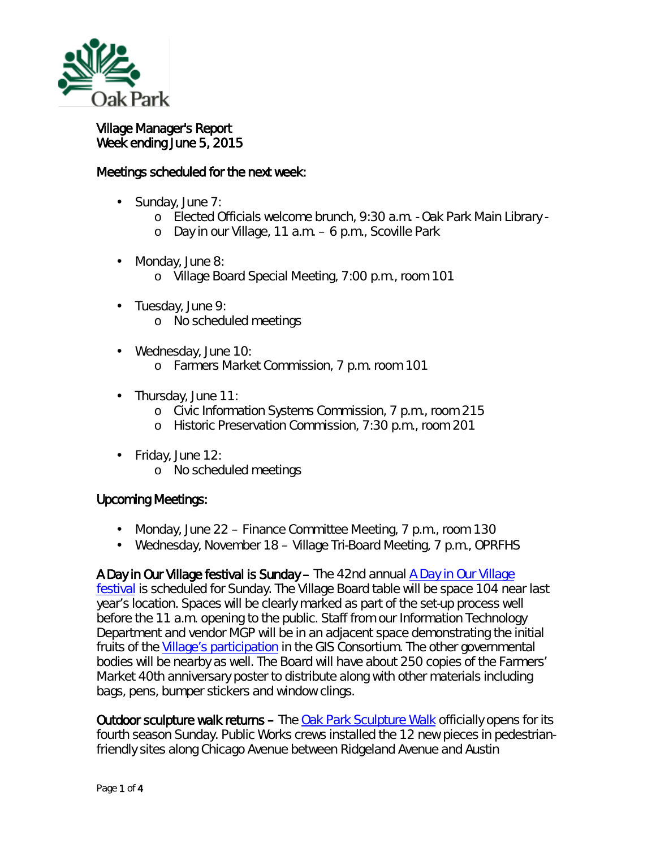

## Village Manager's Report Week ending June 5, 2015

## Meetings scheduled for the next week:

- Sunday, June 7:
	- o Elected Officials welcome brunch, 9:30 a.m. Oak Park Main Library -
	- o Day in our Village, 11 a.m. 6 p.m., Scoville Park
- Monday, June 8: ä,
	- o Village Board Special Meeting, 7:00 p.m., room 101
- Tuesday, June 9: ä. o No scheduled meetings
- Wednesday, June 10: ä. o Farmers Market Commission, 7 p.m. room 101
- $\cdot$  Thursday, June 11:
	- o Civic Information Systems Commission, 7 p.m., room 215
	- o Historic Preservation Commission, 7:30 p.m., room 201
- Friday, June 12: ä,
	- o No scheduled meetings

## Upcoming Meetings:

- $\mathbf{r}^{\prime}$ Monday, June 22 – Finance Committee Meeting, 7 p.m., room 130
- Wednesday, November 18 Village Tri-Board Meeting, 7 p.m., OPRFHS

A Day in Our Village festival is Sunday – The 42nd annual [A Day in Our Village](http://www.oak-park.us/our-community/special-events/day-our-village)  [festival](http://www.oak-park.us/our-community/special-events/day-our-village) is scheduled for Sunday. The Village Board table will be space 104 near last year's location. Spaces will be clearly marked as part of the set-up process well before the 11 a.m. opening to the public. Staff from our Information Technology Department and vendor MGP will be in an adjacent space demonstrating the initial fruits of the [Village's participation](http://www.oak-park.us/online-services/village-maps) in the GIS Consortium. The other governmental bodies will be nearby as well. The Board will have about 250 copies of the Farmers' Market 40th anniversary poster to distribute along with other materials including bags, pens, bumper stickers and window clings.

Outdoor sculpture walk returns – The [Oak Park Sculpture Walk](http://www.oak-park.us/news/sculpture-walk-returns-fourth-year-june-7) officially opens for its fourth season Sunday. Public Works crews installed the 12 new pieces in pedestrianfriendly sites along Chicago Avenue between Ridgeland Avenue and Austin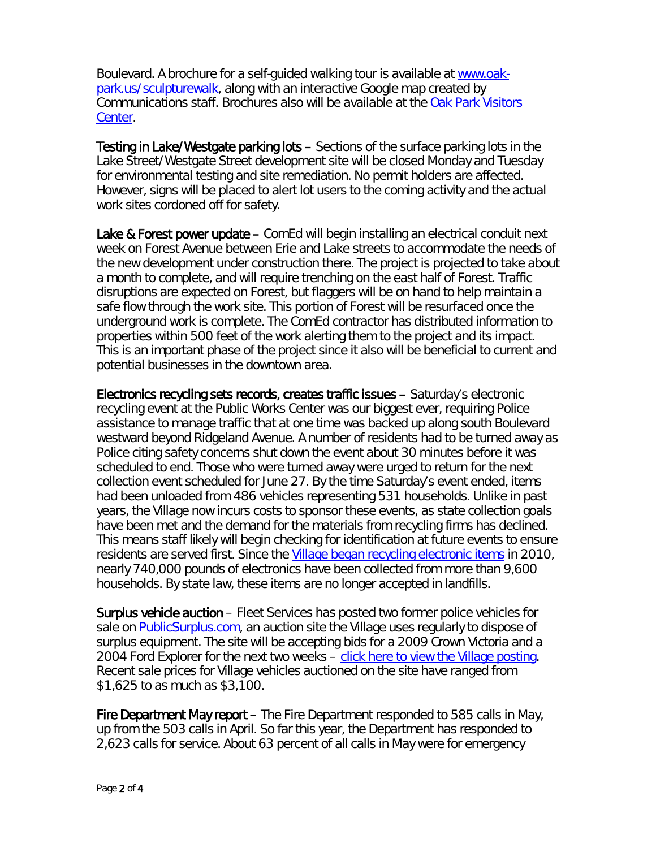Boulevard. A brochure for a self-guided walking tour is available at [www.oak](http://www.oak-park.us/our-community/special-events/sculpture-walk)[park.us/sculpturewalk,](http://www.oak-park.us/our-community/special-events/sculpture-walk) along with an interactive Google map created by Communications staff. Brochures also will be available at the [Oak Park Visitors](http://www.visitoakpark.com/)  [Center.](http://www.visitoakpark.com/)

Testing in Lake/Westgate parking lots – Sections of the surface parking lots in the Lake Street/Westgate Street development site will be closed Monday and Tuesday for environmental testing and site remediation. No permit holders are affected. However, signs will be placed to alert lot users to the coming activity and the actual work sites cordoned off for safety.

Lake & Forest power update – ComEd will begin installing an electrical conduit next week on Forest Avenue between Erie and Lake streets to accommodate the needs of the new development under construction there. The project is projected to take about a month to complete, and will require trenching on the east half of Forest. Traffic disruptions are expected on Forest, but flaggers will be on hand to help maintain a safe flow through the work site. This portion of Forest will be resurfaced once the underground work is complete. The ComEd contractor has distributed information to properties within 500 feet of the work alerting them to the project and its impact. This is an important phase of the project since it also will be beneficial to current and potential businesses in the downtown area.

Electronics recycling sets records, creates traffic issues – Saturday's electronic recycling event at the Public Works Center was our biggest ever, requiring Police assistance to manage traffic that at one time was backed up along south Boulevard westward beyond Ridgeland Avenue. A number of residents had to be turned away as Police citing safety concerns shut down the event about 30 minutes before it was scheduled to end. Those who were turned away were urged to return for the next collection event scheduled for June 27. By the time Saturday's event ended, items had been unloaded from 486 vehicles representing 531 households. Unlike in past years, the Village now incurs costs to sponsor these events, as state collection goals have been met and the demand for the materials from recycling firms has declined. This means staff likely will begin checking for identification at future events to ensure residents are served first. Since the [Village began recycling electronic items](http://www.oak-park.us/village-services/refuse-recycling/recycling-old-electronics) in 2010, nearly 740,000 pounds of electronics have been collected from more than 9,600 households. By state law, these items are no longer accepted in landfills.

Surplus vehicle auction – Fleet Services has posted two former police vehicles for sale on [PublicSurplus.com,](http://www.publicsurplus.com/) an auction site the Village uses regularly to dispose of surplus equipment. The site will be accepting bids for a 2009 Crown Victoria and a 2004 Ford Explorer for the next two weeks – [click here to view the Village posting.](http://www.publicsurplus.com/sms/oakpark,il/list/current?orgid=451077) Recent sale prices for Village vehicles auctioned on the site have ranged from \$1,625 to as much as \$3,100.

Fire Department May report – The Fire Department responded to 585 calls in May, up from the 503 calls in April. So far this year, the Department has responded to 2,623 calls for service. About 63 percent of all calls in May were for emergency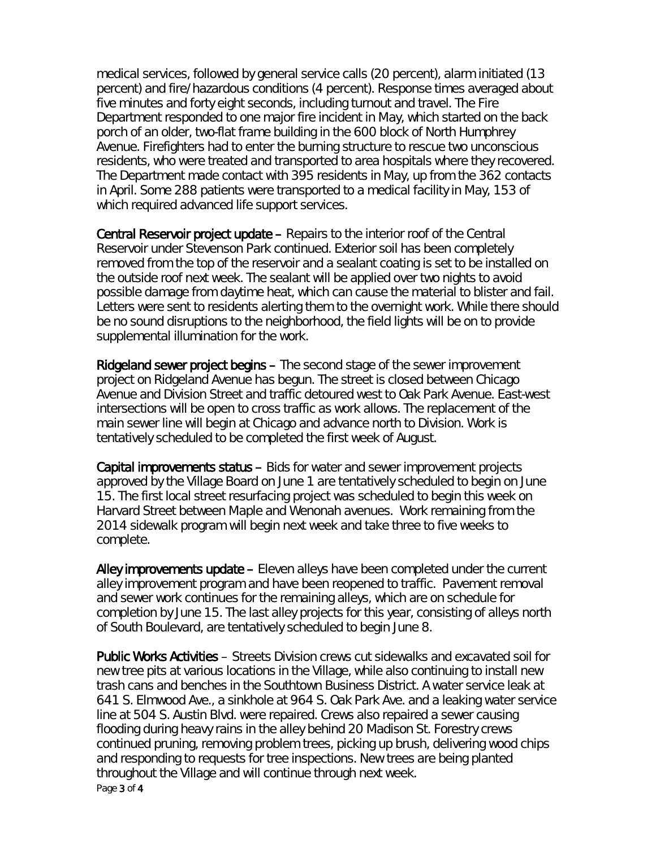medical services, followed by general service calls (20 percent), alarm initiated (13 percent) and fire/hazardous conditions (4 percent). Response times averaged about five minutes and forty eight seconds, including turnout and travel. The Fire Department responded to one major fire incident in May, which started on the back porch of an older, two-flat frame building in the 600 block of North Humphrey Avenue. Firefighters had to enter the burning structure to rescue two unconscious residents, who were treated and transported to area hospitals where they recovered. The Department made contact with 395 residents in May, up from the 362 contacts in April. Some 288 patients were transported to a medical facility in May, 153 of which required advanced life support services.

Central Reservoir project update – Repairs to the interior roof of the Central Reservoir under Stevenson Park continued. Exterior soil has been completely removed from the top of the reservoir and a sealant coating is set to be installed on the outside roof next week. The sealant will be applied over two nights to avoid possible damage from daytime heat, which can cause the material to blister and fail. Letters were sent to residents alerting them to the overnight work. While there should be no sound disruptions to the neighborhood, the field lights will be on to provide supplemental illumination for the work.

Ridgeland sewer project begins – The second stage of the sewer improvement project on Ridgeland Avenue has begun. The street is closed between Chicago Avenue and Division Street and traffic detoured west to Oak Park Avenue. East-west intersections will be open to cross traffic as work allows. The replacement of the main sewer line will begin at Chicago and advance north to Division. Work is tentatively scheduled to be completed the first week of August.

Capital improvements status – Bids for water and sewer improvement projects approved by the Village Board on June 1 are tentatively scheduled to begin on June 15. The first local street resurfacing project was scheduled to begin this week on Harvard Street between Maple and Wenonah avenues. Work remaining from the 2014 sidewalk program will begin next week and take three to five weeks to complete.

Alley improvements update – Eleven alleys have been completed under the current alley improvement program and have been reopened to traffic. Pavement removal and sewer work continues for the remaining alleys, which are on schedule for completion by June 15. The last alley projects for this year, consisting of alleys north of South Boulevard, are tentatively scheduled to begin June 8.

Page 3 of 4 Public Works Activities – Streets Division crews cut sidewalks and excavated soil for new tree pits at various locations in the Village, while also continuing to install new trash cans and benches in the Southtown Business District. A water service leak at 641 S. Elmwood Ave., a sinkhole at 964 S. Oak Park Ave. and a leaking water service line at 504 S. Austin Blvd. were repaired. Crews also repaired a sewer causing flooding during heavy rains in the alley behind 20 Madison St. Forestry crews continued pruning, removing problem trees, picking up brush, delivering wood chips and responding to requests for tree inspections. New trees are being planted throughout the Village and will continue through next week.